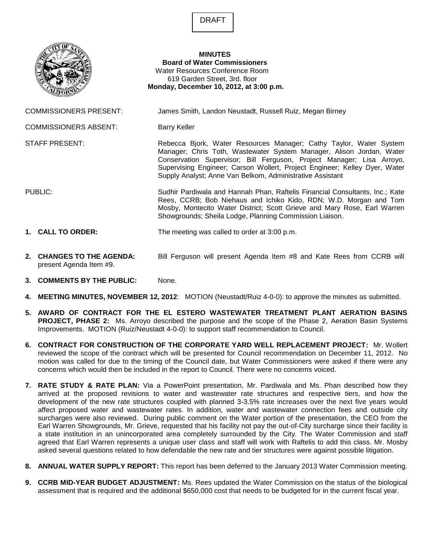DRAFT



- **2. CHANGES TO THE AGENDA:** Bill Ferguson will present Agenda Item #8 and Kate Rees from CCRB will present Agenda Item #9.
- **3. COMMENTS BY THE PUBLIC:** None.
- **4. MEETING MINUTES, NOVEMBER 12, 2012**: MOTION (Neustadt/Ruiz 4-0-0): to approve the minutes as submitted.
- **5. AWARD OF CONTRACT FOR THE EL ESTERO WASTEWATER TREATMENT PLANT AERATION BASINS PROJECT, PHASE 2:** Ms. Arroyo described the purpose and the scope of the Phase 2, Aeration Basin Systems Improvements. MOTION (Ruiz/Neustadt 4-0-0): to support staff recommendation to Council.
- **6. CONTRACT FOR CONSTRUCTION OF THE CORPORATE YARD WELL REPLACEMENT PROJECT:** Mr. Wollert reviewed the scope of the contract which will be presented for Council recommendation on December 11, 2012. No motion was called for due to the timing of the Council date, but Water Commissioners were asked if there were any concerns which would then be included in the report to Council. There were no concerns voiced.
- **7. RATE STUDY & RATE PLAN:** Via a PowerPoint presentation, Mr. Pardiwala and Ms. Phan described how they arrived at the proposed revisions to water and wastewater rate structures and respective tiers, and how the development of the new rate structures coupled with planned 3-3.5% rate increases over the next five years would affect proposed water and wastewater rates. In addition, water and wastewater connection fees and outside city surcharges were also reviewed. During public comment on the Water portion of the presentation, the CEO from the Earl Warren Showgrounds, Mr. Grieve, requested that his facility not pay the out-of-City surcharge since their facility is a state institution in an unincorporated area completely surrounded by the City. The Water Commission and staff agreed that Earl Warren represents a unique user class and staff will work with Raftelis to add this class. Mr. Mosby asked several questions related to how defendable the new rate and tier structures were against possible litigation.
- **8. ANNUAL WATER SUPPLY REPORT:** This report has been deferred to the January 2013 Water Commission meeting.
- **9. CCRB MID-YEAR BUDGET ADJUSTMENT:** Ms. Rees updated the Water Commission on the status of the biological assessment that is required and the additional \$650,000 cost that needs to be budgeted for in the current fiscal year.